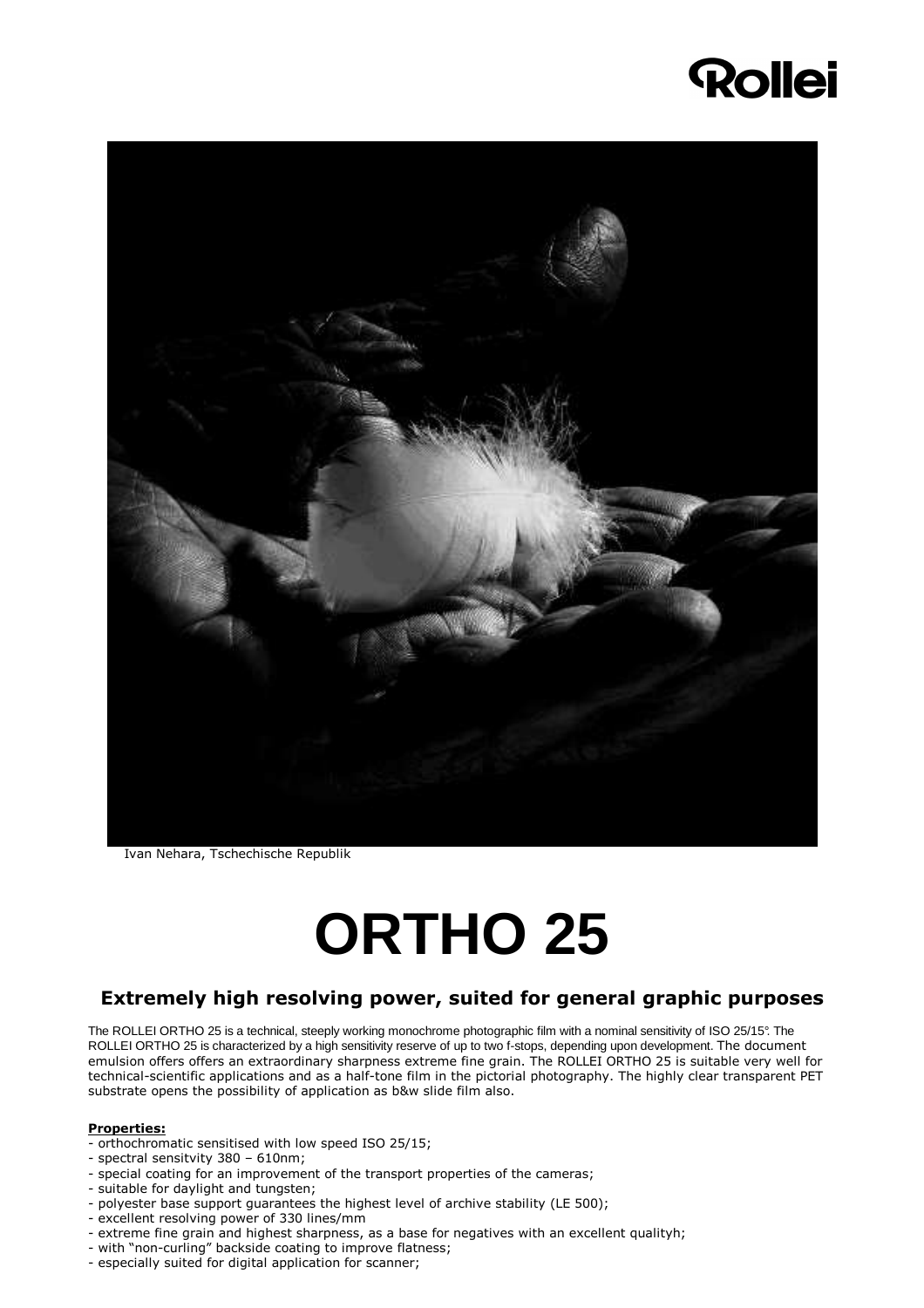## **Rollei**



Ivan Nehara, Tschechische Republik

# **ORTHO 25**

### Extremely high resolving power, suited for general graphic purposes

The ROLLEI ORTHO 25 is a technical, steeply working monochrome photographic film with a nominal sensitivity of ISO 25/15°. The ROLLEI ORTHO 25 is characterized by a high sensitivity reserve of up to two f-stops, depending upon development. The document emulsion offers offers an extraordinary sharpness extreme fine grain. The ROLLEI ORTHO 25 is suitable very well for technical-scientific applications and as a half-tone film in the pictorial photography. The highly clear transparent PET substrate opens the possibility of application as b&w slide film also.

#### Properties:

- orthochromatic sensitised with low speed ISO 25/15;
- spectral sensitvity 380 610nm;
- special coating for an improvement of the transport properties of the cameras;
- suitable for daylight and tungsten;
- polyester base support guarantees the highest level of archive stability (LE 500);
- excellent resolving power of 330 lines/mm
- extreme fine grain and highest sharpness, as a base for negatives with an excellent qualityh;
- with "non-curling" backside coating to improve flatness;
- especially suited for digital application for scanner;